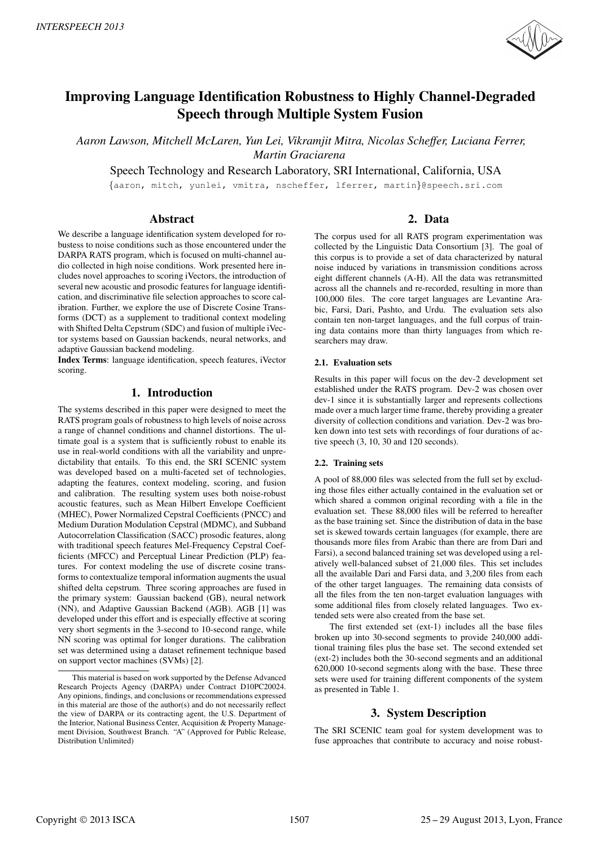

# Improving Language Identification Robustness to Highly Channel-Degraded Speech through Multiple System Fusion

*Aaron Lawson, Mitchell McLaren, Yun Lei, Vikramjit Mitra, Nicolas Scheffer, Luciana Ferrer, Martin Graciarena*

Speech Technology and Research Laboratory, SRI International, California, USA

*{*aaron, mitch, yunlei, vmitra, nscheffer, lferrer, martin*}*@speech.sri.com

# Abstract

We describe a language identification system developed for robustess to noise conditions such as those encountered under the DARPA RATS program, which is focused on multi-channel audio collected in high noise conditions. Work presented here includes novel approaches to scoring iVectors, the introduction of several new acoustic and prosodic features for language identification, and discriminative file selection approaches to score calibration. Further, we explore the use of Discrete Cosine Transforms (DCT) as a supplement to traditional context modeling with Shifted Delta Cepstrum (SDC) and fusion of multiple iVector systems based on Gaussian backends, neural networks, and adaptive Gaussian backend modeling.

Index Terms: language identification, speech features, iVector scoring.

# 1. Introduction

The systems described in this paper were designed to meet the RATS program goals of robustness to high levels of noise across a range of channel conditions and channel distortions. The ultimate goal is a system that is sufficiently robust to enable its use in real-world conditions with all the variability and unpredictability that entails. To this end, the SRI SCENIC system was developed based on a multi-faceted set of technologies, adapting the features, context modeling, scoring, and fusion and calibration. The resulting system uses both noise-robust acoustic features, such as Mean Hilbert Envelope Coefficient (MHEC), Power Normalized Cepstral Coefficients (PNCC) and Medium Duration Modulation Cepstral (MDMC), and Subband Autocorrelation Classification (SACC) prosodic features, along with traditional speech features Mel-Frequency Cepstral Coefficients (MFCC) and Perceptual Linear Prediction (PLP) features. For context modeling the use of discrete cosine transforms to contextualize temporal information augments the usual shifted delta cepstrum. Three scoring approaches are fused in the primary system: Gaussian backend (GB), neural network (NN), and Adaptive Gaussian Backend (AGB). AGB [1] was developed under this effort and is especially effective at scoring very short segments in the 3-second to 10-second range, while NN scoring was optimal for longer durations. The calibration set was determined using a dataset refinement technique based on support vector machines (SVMs) [2].

# 2. Data

The corpus used for all RATS program experimentation was collected by the Linguistic Data Consortium [3]. The goal of this corpus is to provide a set of data characterized by natural noise induced by variations in transmission conditions across eight different channels (A-H). All the data was retransmitted across all the channels and re-recorded, resulting in more than 100,000 files. The core target languages are Levantine Arabic, Farsi, Dari, Pashto, and Urdu. The evaluation sets also contain ten non-target languages, and the full corpus of training data contains more than thirty languages from which researchers may draw.

# 2.1. Evaluation sets

Results in this paper will focus on the dev-2 development set established under the RATS program. Dev-2 was chosen over dev-1 since it is substantially larger and represents collections made over a much larger time frame, thereby providing a greater diversity of collection conditions and variation. Dev-2 was broken down into test sets with recordings of four durations of active speech (3, 10, 30 and 120 seconds).

# 2.2. Training sets

A pool of 88,000 files was selected from the full set by excluding those files either actually contained in the evaluation set or which shared a common original recording with a file in the evaluation set. These 88,000 files will be referred to hereafter as the base training set. Since the distribution of data in the base set is skewed towards certain languages (for example, there are thousands more files from Arabic than there are from Dari and Farsi), a second balanced training set was developed using a relatively well-balanced subset of 21,000 files. This set includes all the available Dari and Farsi data, and 3,200 files from each of the other target languages. The remaining data consists of all the files from the ten non-target evaluation languages with some additional files from closely related languages. Two extended sets were also created from the base set.

The first extended set (ext-1) includes all the base files broken up into 30-second segments to provide 240,000 additional training files plus the base set. The second extended set (ext-2) includes both the 30-second segments and an additional 620,000 10-second segments along with the base. These three sets were used for training different components of the system as presented in Table 1.

# 3. System Description

The SRI SCENIC team goal for system development was to fuse approaches that contribute to accuracy and noise robust-

This material is based on work supported by the Defense Advanced Research Projects Agency (DARPA) under Contract D10PC20024. Any opinions, findings, and conclusions or recommendations expressed in this material are those of the author(s) and do not necessarily reflect the view of DARPA or its contracting agent, the U.S. Department of the Interior, National Business Center, Acquisition & Property Management Division, Southwest Branch. "A" (Approved for Public Release, Distribution Unlimited)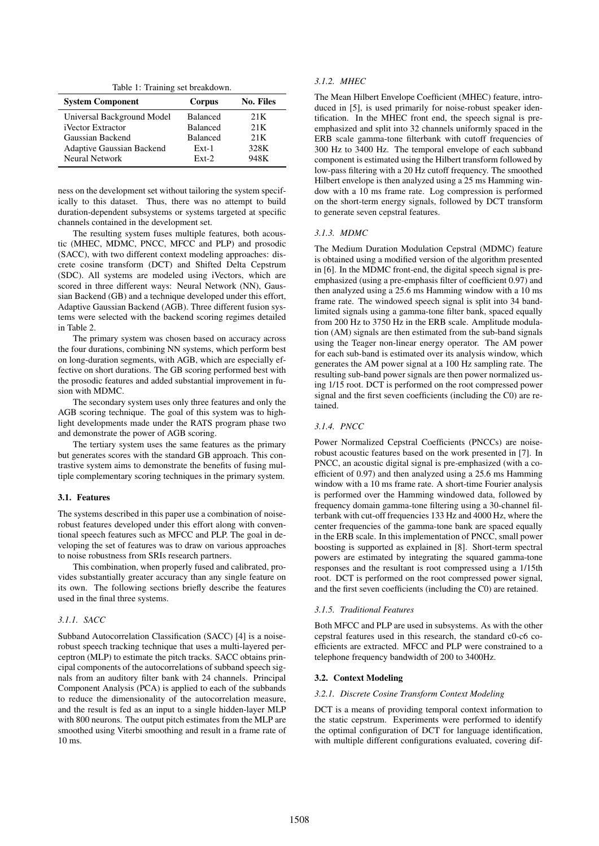Table 1: Training set breakdown.

| <b>System Component</b>          | Corpus          | <b>No. Files</b> |
|----------------------------------|-----------------|------------------|
| Universal Background Model       | <b>Balanced</b> | 21K              |
| <i>i</i> Vector Extractor        | <b>Balanced</b> | 21K              |
| Gaussian Backend                 | <b>Balanced</b> | 21K              |
| <b>Adaptive Gaussian Backend</b> | $Ext-1$         | 328K             |
| Neural Network                   | $Ext-2$         | 948K             |

ness on the development set without tailoring the system specifically to this dataset. Thus, there was no attempt to build duration-dependent subsystems or systems targeted at specific channels contained in the development set.

The resulting system fuses multiple features, both acoustic (MHEC, MDMC, PNCC, MFCC and PLP) and prosodic (SACC), with two different context modeling approaches: discrete cosine transform (DCT) and Shifted Delta Cepstrum (SDC). All systems are modeled using iVectors, which are scored in three different ways: Neural Network (NN), Gaussian Backend (GB) and a technique developed under this effort, Adaptive Gaussian Backend (AGB). Three different fusion systems were selected with the backend scoring regimes detailed in Table 2.

The primary system was chosen based on accuracy across the four durations, combining NN systems, which perform best on long-duration segments, with AGB, which are especially effective on short durations. The GB scoring performed best with the prosodic features and added substantial improvement in fusion with MDMC.

The secondary system uses only three features and only the AGB scoring technique. The goal of this system was to highlight developments made under the RATS program phase two and demonstrate the power of AGB scoring.

The tertiary system uses the same features as the primary but generates scores with the standard GB approach. This contrastive system aims to demonstrate the benefits of fusing multiple complementary scoring techniques in the primary system.

## 3.1. Features

The systems described in this paper use a combination of noiserobust features developed under this effort along with conventional speech features such as MFCC and PLP. The goal in developing the set of features was to draw on various approaches to noise robustness from SRIs research partners.

This combination, when properly fused and calibrated, provides substantially greater accuracy than any single feature on its own. The following sections briefly describe the features used in the final three systems.

# *3.1.1. SACC*

Subband Autocorrelation Classification (SACC) [4] is a noiserobust speech tracking technique that uses a multi-layered perceptron (MLP) to estimate the pitch tracks. SACC obtains principal components of the autocorrelations of subband speech signals from an auditory filter bank with 24 channels. Principal Component Analysis (PCA) is applied to each of the subbands to reduce the dimensionality of the autocorrelation measure, and the result is fed as an input to a single hidden-layer MLP with 800 neurons. The output pitch estimates from the MLP are smoothed using Viterbi smoothing and result in a frame rate of 10 ms.

# *3.1.2. MHEC*

The Mean Hilbert Envelope Coefficient (MHEC) feature, introduced in [5], is used primarily for noise-robust speaker identification. In the MHEC front end, the speech signal is preemphasized and split into 32 channels uniformly spaced in the ERB scale gamma-tone filterbank with cutoff frequencies of 300 Hz to 3400 Hz. The temporal envelope of each subband component is estimated using the Hilbert transform followed by low-pass filtering with a 20 Hz cutoff frequency. The smoothed Hilbert envelope is then analyzed using a 25 ms Hamming window with a 10 ms frame rate. Log compression is performed on the short-term energy signals, followed by DCT transform to generate seven cepstral features.

#### *3.1.3. MDMC*

The Medium Duration Modulation Cepstral (MDMC) feature is obtained using a modified version of the algorithm presented in [6]. In the MDMC front-end, the digital speech signal is preemphasized (using a pre-emphasis filter of coefficient 0.97) and then analyzed using a 25.6 ms Hamming window with a 10 ms frame rate. The windowed speech signal is split into 34 bandlimited signals using a gamma-tone filter bank, spaced equally from 200 Hz to 3750 Hz in the ERB scale. Amplitude modulation (AM) signals are then estimated from the sub-band signals using the Teager non-linear energy operator. The AM power for each sub-band is estimated over its analysis window, which generates the AM power signal at a 100 Hz sampling rate. The resulting sub-band power signals are then power normalized using 1/15 root. DCT is performed on the root compressed power signal and the first seven coefficients (including the C0) are retained.

# *3.1.4. PNCC*

Power Normalized Cepstral Coefficients (PNCCs) are noiserobust acoustic features based on the work presented in [7]. In PNCC, an acoustic digital signal is pre-emphasized (with a coefficient of 0.97) and then analyzed using a 25.6 ms Hamming window with a 10 ms frame rate. A short-time Fourier analysis is performed over the Hamming windowed data, followed by frequency domain gamma-tone filtering using a 30-channel filterbank with cut-off frequencies 133 Hz and 4000 Hz, where the center frequencies of the gamma-tone bank are spaced equally in the ERB scale. In this implementation of PNCC, small power boosting is supported as explained in [8]. Short-term spectral powers are estimated by integrating the squared gamma-tone responses and the resultant is root compressed using a 1/15th root. DCT is performed on the root compressed power signal, and the first seven coefficients (including the C0) are retained.

#### *3.1.5. Traditional Features*

Both MFCC and PLP are used in subsystems. As with the other cepstral features used in this research, the standard c0-c6 coefficients are extracted. MFCC and PLP were constrained to a telephone frequency bandwidth of 200 to 3400Hz.

#### 3.2. Context Modeling

#### *3.2.1. Discrete Cosine Transform Context Modeling*

DCT is a means of providing temporal context information to the static cepstrum. Experiments were performed to identify the optimal configuration of DCT for language identification, with multiple different configurations evaluated, covering dif-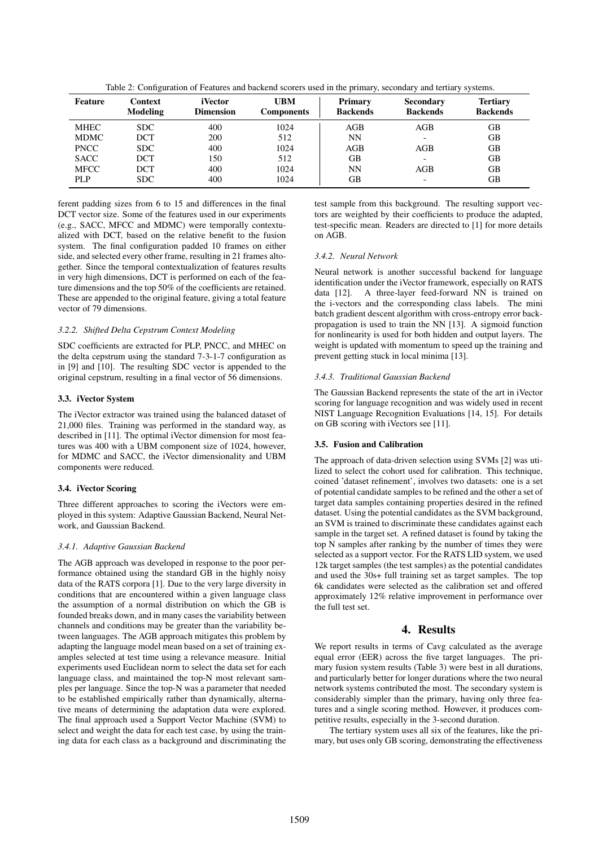|             |                                   |                             |                                 | . .                        |                                     |                                    |
|-------------|-----------------------------------|-----------------------------|---------------------------------|----------------------------|-------------------------------------|------------------------------------|
| Feature     | <b>Context</b><br><b>Modeling</b> | iVector<br><b>Dimension</b> | <b>UBM</b><br><b>Components</b> | Primary<br><b>Backends</b> | <b>Secondary</b><br><b>Backends</b> | <b>Tertiary</b><br><b>Backends</b> |
| MHEC        | <b>SDC</b>                        | 400                         | 1024                            | AGB                        | AGB                                 | GB                                 |
| <b>MDMC</b> | DCT                               | 200                         | 512                             | NΝ                         | -                                   | GВ                                 |
| <b>PNCC</b> | <b>SDC</b>                        | 400                         | 1024                            | AGB                        | AGB                                 | <b>GB</b>                          |
| <b>SACC</b> | <b>DCT</b>                        | 150                         | 512                             | GB                         |                                     | GB                                 |
| <b>MFCC</b> | <b>DCT</b>                        | 400                         | 1024                            | NΝ                         | AGB                                 | GB                                 |
| PLP         | <b>SDC</b>                        | 400                         | 1024                            | GВ                         | -                                   | GВ                                 |

Table 2: Configuration of Features and backend scorers used in the primary, secondary and tertiary systems.

ferent padding sizes from 6 to 15 and differences in the final DCT vector size. Some of the features used in our experiments (e.g., SACC, MFCC and MDMC) were temporally contextualized with DCT, based on the relative benefit to the fusion system. The final configuration padded 10 frames on either side, and selected every other frame, resulting in 21 frames altogether. Since the temporal contextualization of features results in very high dimensions, DCT is performed on each of the feature dimensions and the top 50% of the coefficients are retained. These are appended to the original feature, giving a total feature vector of 79 dimensions.

# *3.2.2. Shifted Delta Cepstrum Context Modeling*

SDC coefficients are extracted for PLP, PNCC, and MHEC on the delta cepstrum using the standard 7-3-1-7 configuration as in [9] and [10]. The resulting SDC vector is appended to the original cepstrum, resulting in a final vector of 56 dimensions.

# 3.3. iVector System

The iVector extractor was trained using the balanced dataset of 21,000 files. Training was performed in the standard way, as described in [11]. The optimal iVector dimension for most features was 400 with a UBM component size of 1024, however, for MDMC and SACC, the iVector dimensionality and UBM components were reduced.

# 3.4. iVector Scoring

Three different approaches to scoring the iVectors were employed in this system: Adaptive Gaussian Backend, Neural Network, and Gaussian Backend.

## *3.4.1. Adaptive Gaussian Backend*

The AGB approach was developed in response to the poor performance obtained using the standard GB in the highly noisy data of the RATS corpora [1]. Due to the very large diversity in conditions that are encountered within a given language class the assumption of a normal distribution on which the GB is founded breaks down, and in many cases the variability between channels and conditions may be greater than the variability between languages. The AGB approach mitigates this problem by adapting the language model mean based on a set of training examples selected at test time using a relevance measure. Initial experiments used Euclidean norm to select the data set for each language class, and maintained the top-N most relevant samples per language. Since the top-N was a parameter that needed to be established empirically rather than dynamically, alternative means of determining the adaptation data were explored. The final approach used a Support Vector Machine (SVM) to select and weight the data for each test case, by using the training data for each class as a background and discriminating the test sample from this background. The resulting support vectors are weighted by their coefficients to produce the adapted, test-specific mean. Readers are directed to [1] for more details on AGB.

## *3.4.2. Neural Network*

Neural network is another successful backend for language identification under the iVector framework, especially on RATS data [12]. A three-layer feed-forward NN is trained on the i-vectors and the corresponding class labels. The mini batch gradient descent algorithm with cross-entropy error backpropagation is used to train the NN [13]. A sigmoid function for nonlinearity is used for both hidden and output layers. The weight is updated with momentum to speed up the training and prevent getting stuck in local minima [13].

## *3.4.3. Traditional Gaussian Backend*

The Gaussian Backend represents the state of the art in iVector scoring for language recognition and was widely used in recent NIST Language Recognition Evaluations [14, 15]. For details on GB scoring with iVectors see [11].

## 3.5. Fusion and Calibration

The approach of data-driven selection using SVMs [2] was utilized to select the cohort used for calibration. This technique, coined 'dataset refinement', involves two datasets: one is a set of potential candidate samples to be refined and the other a set of target data samples containing properties desired in the refined dataset. Using the potential candidates as the SVM background, an SVM is trained to discriminate these candidates against each sample in the target set. A refined dataset is found by taking the top N samples after ranking by the number of times they were selected as a support vector. For the RATS LID system, we used 12k target samples (the test samples) as the potential candidates and used the 30s+ full training set as target samples. The top 6k candidates were selected as the calibration set and offered approximately 12% relative improvement in performance over the full test set.

# 4. Results

We report results in terms of Cavg calculated as the average equal error (EER) across the five target languages. The primary fusion system results (Table 3) were best in all durations, and particularly better for longer durations where the two neural network systems contributed the most. The secondary system is considerably simpler than the primary, having only three features and a single scoring method. However, it produces competitive results, especially in the 3-second duration.

The tertiary system uses all six of the features, like the primary, but uses only GB scoring, demonstrating the effectiveness